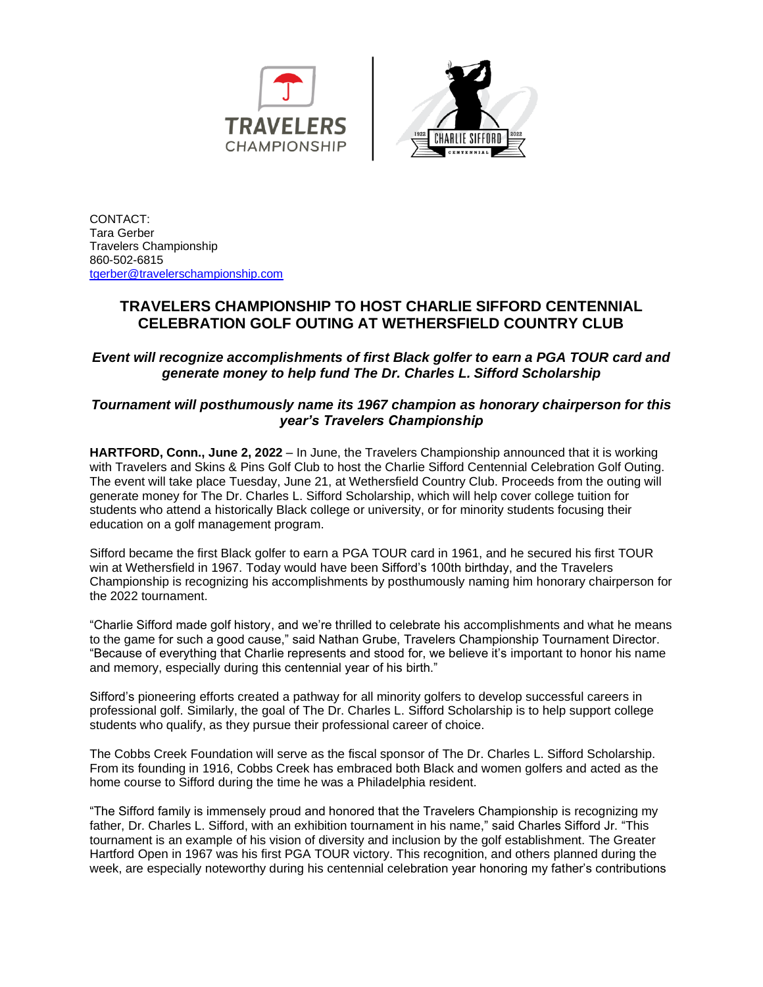



CONTACT: Tara Gerber Travelers Championship 860-502-6815 [tgerber@travelerschampionship.com](mailto:tgerber@travelerschampionship.com)

## **TRAVELERS CHAMPIONSHIP TO HOST CHARLIE SIFFORD CENTENNIAL CELEBRATION GOLF OUTING AT WETHERSFIELD COUNTRY CLUB**

*Event will recognize accomplishments of first Black golfer to earn a PGA TOUR card and generate money to help fund The Dr. Charles L. Sifford Scholarship*

## *Tournament will posthumously name its 1967 champion as honorary chairperson for this year's Travelers Championship*

**HARTFORD, Conn., June 2, 2022** – In June, the Travelers Championship announced that it is working with Travelers and Skins & Pins Golf Club to host the Charlie Sifford Centennial Celebration Golf Outing. The event will take place Tuesday, June 21, at Wethersfield Country Club. Proceeds from the outing will generate money for The Dr. Charles L. Sifford Scholarship, which will help cover college tuition for students who attend a historically Black college or university, or for minority students focusing their education on a golf management program.

Sifford became the first Black golfer to earn a PGA TOUR card in 1961, and he secured his first TOUR win at Wethersfield in 1967. Today would have been Sifford's 100th birthday, and the Travelers Championship is recognizing his accomplishments by posthumously naming him honorary chairperson for the 2022 tournament.

"Charlie Sifford made golf history, and we're thrilled to celebrate his accomplishments and what he means to the game for such a good cause," said Nathan Grube, Travelers Championship Tournament Director. "Because of everything that Charlie represents and stood for, we believe it's important to honor his name and memory, especially during this centennial year of his birth."

Sifford's pioneering efforts created a pathway for all minority golfers to develop successful careers in professional golf. Similarly, the goal of The Dr. Charles L. Sifford Scholarship is to help support college students who qualify, as they pursue their professional career of choice.

The Cobbs Creek Foundation will serve as the fiscal sponsor of The Dr. Charles L. Sifford Scholarship. From its founding in 1916, Cobbs Creek has embraced both Black and women golfers and acted as the home course to Sifford during the time he was a Philadelphia resident.

"The Sifford family is immensely proud and honored that the Travelers Championship is recognizing my father, Dr. Charles L. Sifford, with an exhibition tournament in his name," said Charles Sifford Jr. "This tournament is an example of his vision of diversity and inclusion by the golf establishment. The Greater Hartford Open in 1967 was his first PGA TOUR victory. This recognition, and others planned during the week, are especially noteworthy during his centennial celebration year honoring my father's contributions